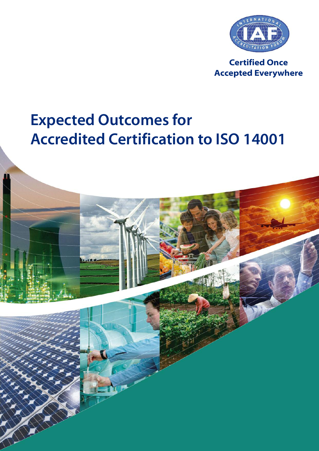

**Certified Once Accepted Everywhere**

# **Expected Outcomes for Accredited Certification to ISO 14001**

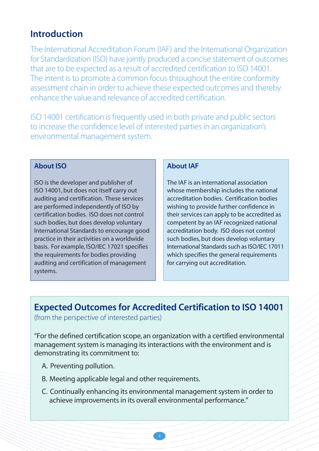### **Introduction**

The International Accreditation Forum (IAF) and the International Organization for Standardization (ISO) have jointly produced a concise statement of outcomes that are to be expected as a result of accredited certification to ISO 14001. The intent is to promote a common focus throughout the entire conformity assessment chain in order to achieve these expected outcomes and thereby enhance the value and relevance of accredited certification.

ISO 14001 certification is frequently used in both private and public sectors to increase the confidence level of interested parties in an organization's environmental management system.

### **About ISO**

ISO is the developer and publisher of ISO 14001,but does not itself carry out auditing and certification. These services are performed independently of ISO by certification bodies. ISO does not control such bodies, but does develop voluntary International Standards to encourage good practice in their activities on a worldwide basis. For example, ISO/IEC 17021 specifies the requirements for bodies providing auditing and certification of management systems.

#### **About IAF**

The IAF is an international association whose membership includes the national accreditation bodies. Certification bodies wishing to provide further confidence in their services can apply to be accredited as competent by an IAF recognized national accreditation body. ISO does not control such bodies, but does develop voluntary International Standards such as ISO/IEC 17011 which specifies the general requirements for carrying out accreditation.

# **Expected Outcomes for Accredited Certification to ISO 14001**

(from the perspective of interested parties)

"For the defined certification scope, an organization with a certified environmental management system is managing its interactions with the environment and is demonstrating its commitment to:

- A. Preventing pollution.
- B. Meeting applicable legal and other requirements.
- C. Continually enhancing its environmental management system in order to achieve improvements in its overall environmental performance."

2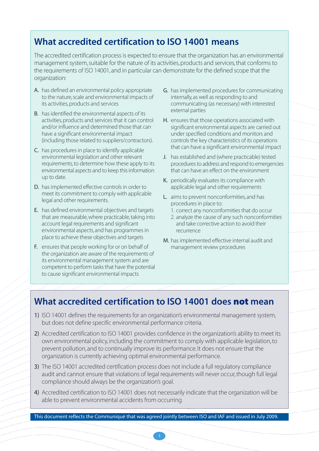## **What accredited certification to ISO 14001 means**

The accredited certification process is expected to ensure that the organization has an environmental management system, suitable for the nature of its activities, products and services, that conforms to the requirements of ISO 14001, and in particular can demonstrate for the defined scope that the organization:

- A. has defined an environmental policy appropriate to the nature, scale and environmental impacts of its activities, products and services
- B. has identified the environmental aspects of its activities, products and services that it can control and/or influence and determined those that can have a significant environmental impact (including those related to suppliers/contractors).
- C. has procedures in place to identify applicable environmental legislation and other relevant requirements,to determine how these apply to its environmental aspects and to keep this information up to date.
- D. has implemented effective controls in order to meet its commitment to comply with applicable legal and other requirements.
- E. has defined environmental objectives and targets that are measurable, where practicable, taking into account legal requirements and significant environmental aspects, and has programmes in place to achieve these objectives and targets
- F. ensures that people working for or on behalf of the organization are aware of the requirements of its environmental management system and are competent to perform tasks that have the potential to cause significant environmental impacts
- G. has implemented procedures for communicating internally, as well as responding to and communicating (as necessary) with interested external parties
- H. ensures that those operations associated with significant environmental aspects are carried out under specified conditions and monitors and controls the key characteristics of its operations that can have a significant environmental impact
- J. has established and (where practicable) tested procedures to address and respond to emergencies that can have an effect on the environment
- K. periodically evaluates its compliance with applicable legal and other requirements
- L. aims to prevent nonconformities, and has procedures in place to:
	- 1. correct any nonconformities that do occur
	- 2. analyze the cause of any such nonconformities and take corrective action to avoid their recurrence
- M. has implemented effective internal audit and management review procedures

### **What accredited certification to ISO 14001 does not mean**

- 1) ISO 14001 defines the requirements for an organization's environmental management system, but does not define specific environmental performance criteria.
- 2) Accredited certification to ISO 14001 provides confidence in the organization's ability to meet its own environmental policy, including the commitment to comply with applicable legislation,to prevent pollution, and to continually improve its performance. It does not ensure that the organization is currently achieving optimal environmental performance.
- 3) The ISO 14001 accredited certification process does not include a full regulatory compliance audit and cannot ensure that violations of legal requirements will never occur, though full legal compliance should always be the organization's goal.
- 4) Accredited certification to ISO 14001 does not necessarily indicate that the organization will be able to prevent environmental accidents from occurring

This document reflects the Communiqué that was agreed jointly between ISO and IAF and issued in July 2009.